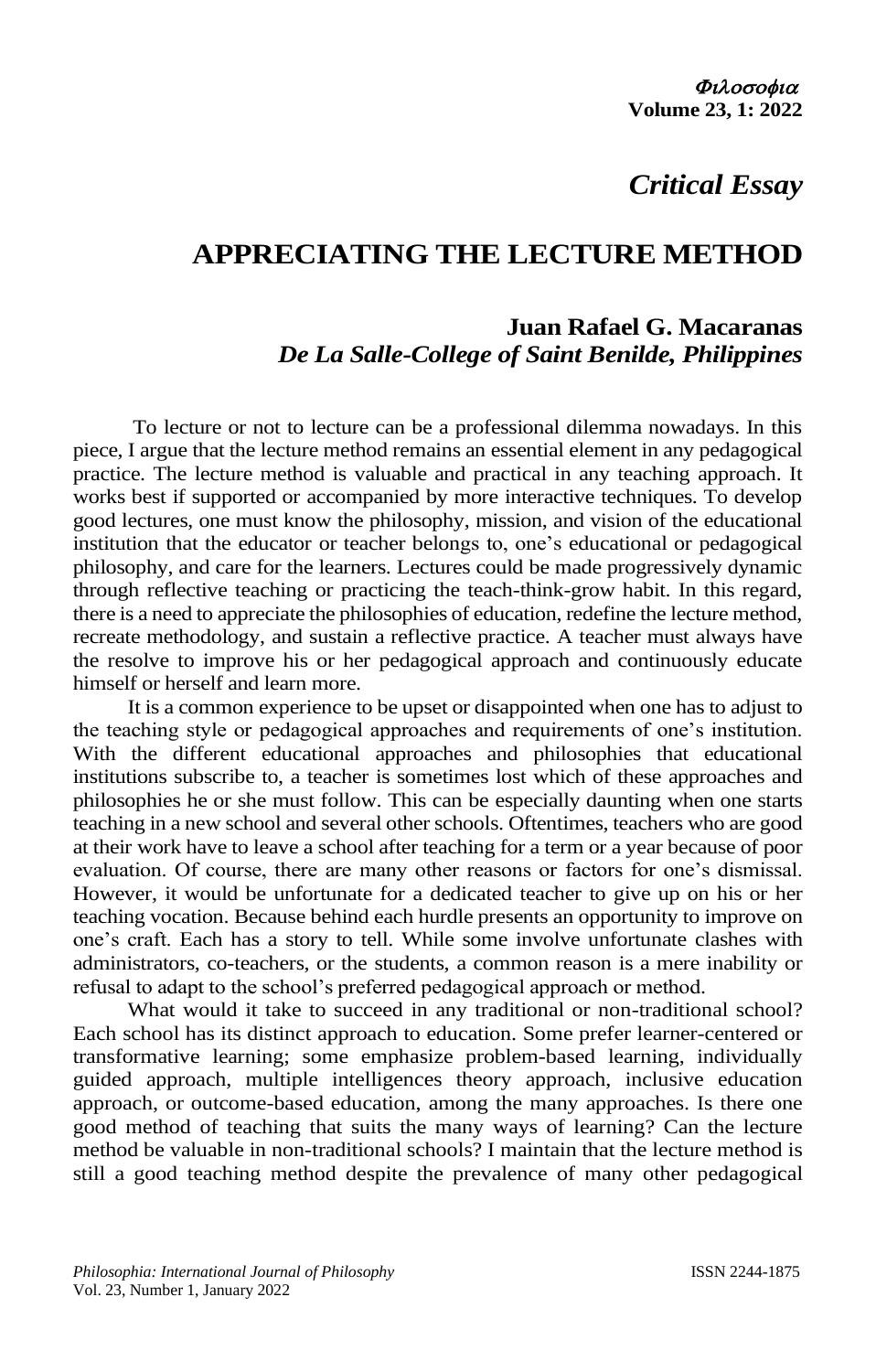# *Critical Essay*

# **APPRECIATING THE LECTURE METHOD**

# **Juan Rafael G. Macaranas** *De La Salle-College of Saint Benilde, Philippines*

To lecture or not to lecture can be a professional dilemma nowadays. In this piece, I argue that the lecture method remains an essential element in any pedagogical practice. The lecture method is valuable and practical in any teaching approach. It works best if supported or accompanied by more interactive techniques. To develop good lectures, one must know the philosophy, mission, and vision of the educational institution that the educator or teacher belongs to, one's educational or pedagogical philosophy, and care for the learners. Lectures could be made progressively dynamic through reflective teaching or practicing the teach-think-grow habit. In this regard, there is a need to appreciate the philosophies of education, redefine the lecture method, recreate methodology, and sustain a reflective practice. A teacher must always have the resolve to improve his or her pedagogical approach and continuously educate himself or herself and learn more.

It is a common experience to be upset or disappointed when one has to adjust to the teaching style or pedagogical approaches and requirements of one's institution. With the different educational approaches and philosophies that educational institutions subscribe to, a teacher is sometimes lost which of these approaches and philosophies he or she must follow. This can be especially daunting when one starts teaching in a new school and several other schools. Oftentimes, teachers who are good at their work have to leave a school after teaching for a term or a year because of poor evaluation. Of course, there are many other reasons or factors for one's dismissal. However, it would be unfortunate for a dedicated teacher to give up on his or her teaching vocation. Because behind each hurdle presents an opportunity to improve on one's craft. Each has a story to tell. While some involve unfortunate clashes with administrators, co-teachers, or the students, a common reason is a mere inability or refusal to adapt to the school's preferred pedagogical approach or method.

What would it take to succeed in any traditional or non-traditional school? Each school has its distinct approach to education. Some prefer learner-centered or transformative learning; some emphasize problem-based learning, individually guided approach, multiple intelligences theory approach, inclusive education approach, or outcome-based education, among the many approaches. Is there one good method of teaching that suits the many ways of learning? Can the lecture method be valuable in non-traditional schools? I maintain that the lecture method is still a good teaching method despite the prevalence of many other pedagogical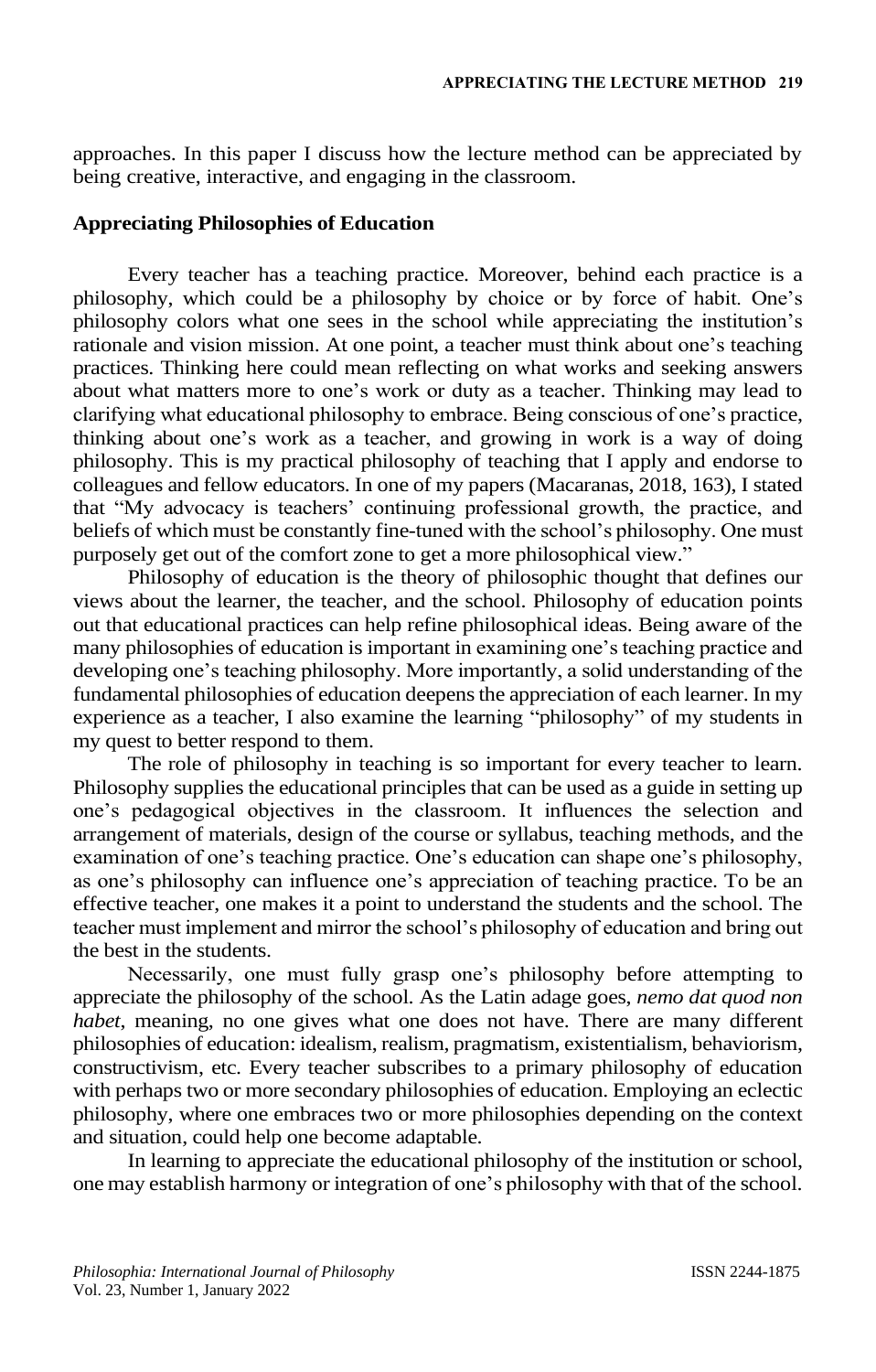approaches. In this paper I discuss how the lecture method can be appreciated by being creative, interactive, and engaging in the classroom.

### **Appreciating Philosophies of Education**

Every teacher has a teaching practice. Moreover, behind each practice is a philosophy, which could be a philosophy by choice or by force of habit. One's philosophy colors what one sees in the school while appreciating the institution's rationale and vision mission. At one point, a teacher must think about one's teaching practices. Thinking here could mean reflecting on what works and seeking answers about what matters more to one's work or duty as a teacher. Thinking may lead to clarifying what educational philosophy to embrace. Being conscious of one's practice, thinking about one's work as a teacher, and growing in work is a way of doing philosophy. This is my practical philosophy of teaching that I apply and endorse to colleagues and fellow educators. In one of my papers (Macaranas, 2018, 163), I stated that "My advocacy is teachers' continuing professional growth, the practice, and beliefs of which must be constantly fine-tuned with the school's philosophy. One must purposely get out of the comfort zone to get a more philosophical view."

Philosophy of education is the theory of philosophic thought that defines our views about the learner, the teacher, and the school. Philosophy of education points out that educational practices can help refine philosophical ideas. Being aware of the many philosophies of education is important in examining one's teaching practice and developing one's teaching philosophy. More importantly, a solid understanding of the fundamental philosophies of education deepens the appreciation of each learner. In my experience as a teacher, I also examine the learning "philosophy" of my students in my quest to better respond to them.

The role of philosophy in teaching is so important for every teacher to learn. Philosophy supplies the educational principles that can be used as a guide in setting up one's pedagogical objectives in the classroom. It influences the selection and arrangement of materials, design of the course or syllabus, teaching methods, and the examination of one's teaching practice. One's education can shape one's philosophy, as one's philosophy can influence one's appreciation of teaching practice. To be an effective teacher, one makes it a point to understand the students and the school. The teacher must implement and mirror the school's philosophy of education and bring out the best in the students.

Necessarily, one must fully grasp one's philosophy before attempting to appreciate the philosophy of the school. As the Latin adage goes, *nemo dat quod non habet*, meaning, no one gives what one does not have. There are many different philosophies of education: idealism, realism, pragmatism, existentialism, behaviorism, constructivism, etc. Every teacher subscribes to a primary philosophy of education with perhaps two or more secondary philosophies of education. Employing an eclectic philosophy, where one embraces two or more philosophies depending on the context and situation, could help one become adaptable.

In learning to appreciate the educational philosophy of the institution or school, one may establish harmony or integration of one's philosophy with that of the school.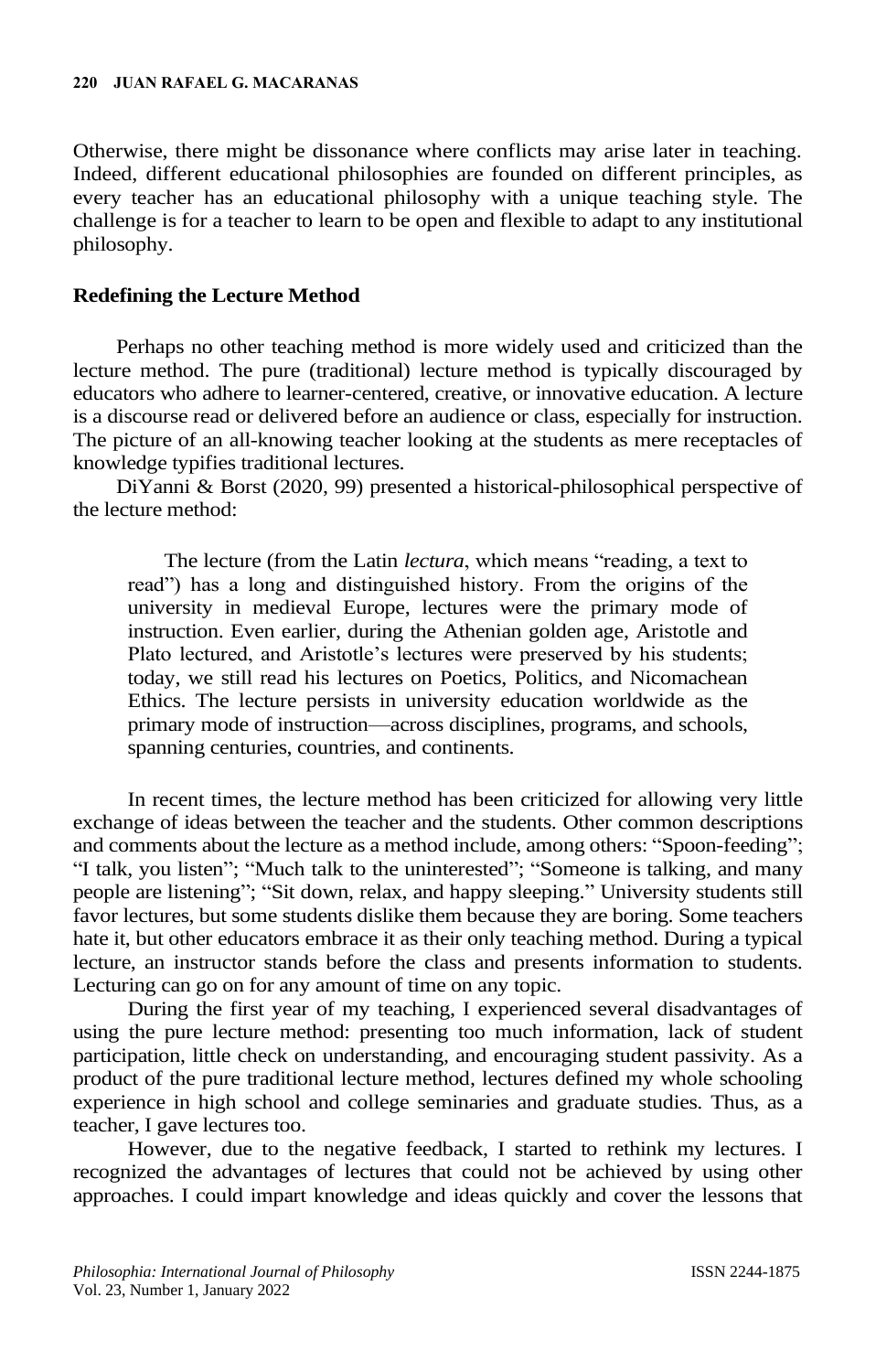Otherwise, there might be dissonance where conflicts may arise later in teaching. Indeed, different educational philosophies are founded on different principles, as every teacher has an educational philosophy with a unique teaching style. The challenge is for a teacher to learn to be open and flexible to adapt to any institutional philosophy.

# **Redefining the Lecture Method**

Perhaps no other teaching method is more widely used and criticized than the lecture method. The pure (traditional) lecture method is typically discouraged by educators who adhere to learner-centered, creative, or innovative education. A lecture is a discourse read or delivered before an audience or class, especially for instruction. The picture of an all-knowing teacher looking at the students as mere receptacles of knowledge typifies traditional lectures.

DiYanni & Borst (2020, 99) presented a historical-philosophical perspective of the lecture method:

The lecture (from the Latin *lectura*, which means "reading, a text to read") has a long and distinguished history. From the origins of the university in medieval Europe, lectures were the primary mode of instruction. Even earlier, during the Athenian golden age, Aristotle and Plato lectured, and Aristotle's lectures were preserved by his students; today, we still read his lectures on Poetics, Politics, and Nicomachean Ethics. The lecture persists in university education worldwide as the primary mode of instruction—across disciplines, programs, and schools, spanning centuries, countries, and continents.

In recent times, the lecture method has been criticized for allowing very little exchange of ideas between the teacher and the students. Other common descriptions and comments about the lecture as a method include, among others: "Spoon-feeding"; "I talk, you listen"; "Much talk to the uninterested"; "Someone is talking, and many people are listening"; "Sit down, relax, and happy sleeping." University students still favor lectures, but some students dislike them because they are boring. Some teachers hate it, but other educators embrace it as their only teaching method. During a typical lecture, an instructor stands before the class and presents information to students. Lecturing can go on for any amount of time on any topic.

During the first year of my teaching, I experienced several disadvantages of using the pure lecture method: presenting too much information, lack of student participation, little check on understanding, and encouraging student passivity. As a product of the pure traditional lecture method, lectures defined my whole schooling experience in high school and college seminaries and graduate studies. Thus, as a teacher, I gave lectures too.

However, due to the negative feedback, I started to rethink my lectures. I recognized the advantages of lectures that could not be achieved by using other approaches. I could impart knowledge and ideas quickly and cover the lessons that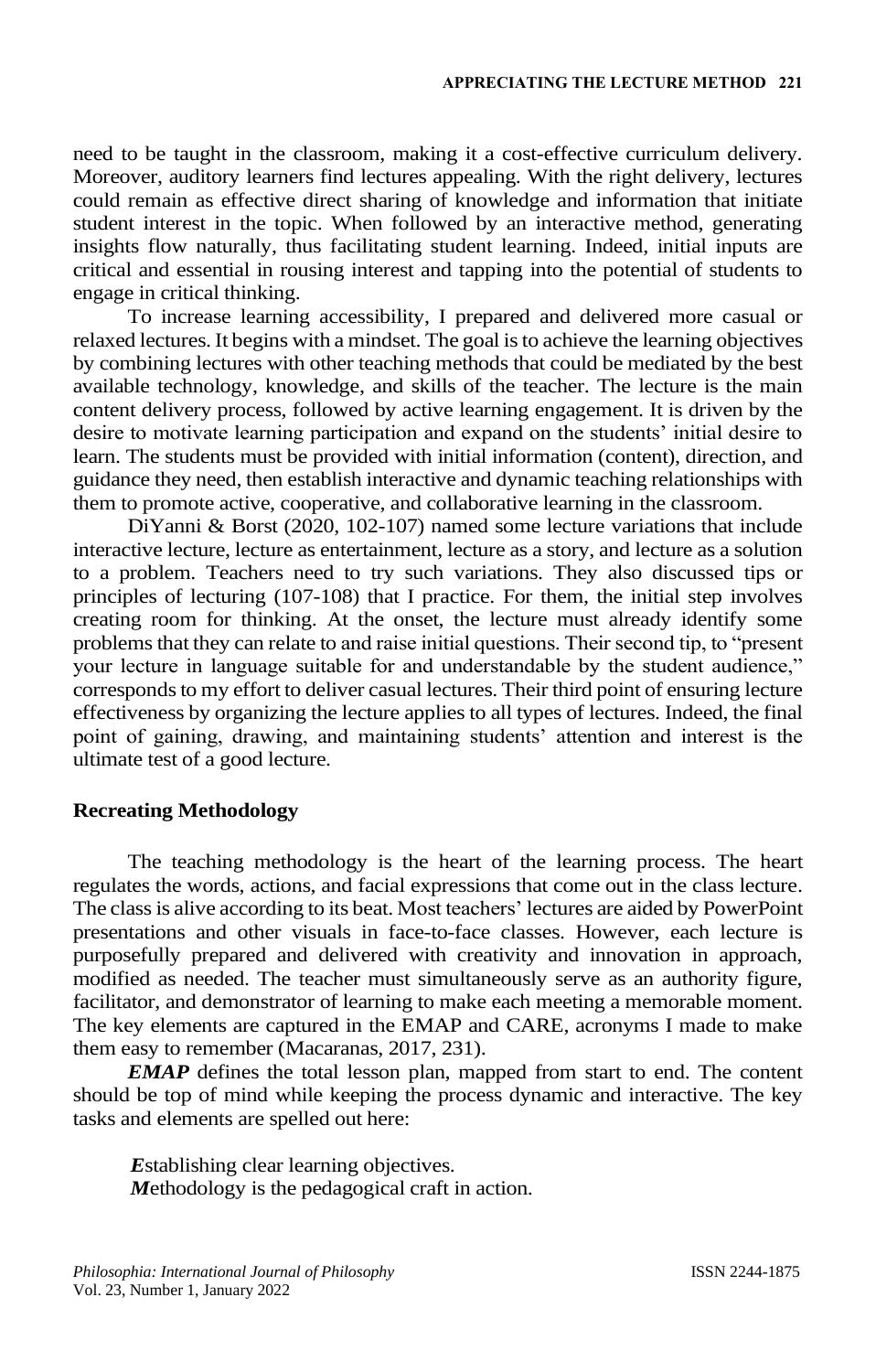need to be taught in the classroom, making it a cost-effective curriculum delivery. Moreover, auditory learners find lectures appealing. With the right delivery, lectures could remain as effective direct sharing of knowledge and information that initiate student interest in the topic. When followed by an interactive method, generating insights flow naturally, thus facilitating student learning. Indeed, initial inputs are critical and essential in rousing interest and tapping into the potential of students to engage in critical thinking.

To increase learning accessibility, I prepared and delivered more casual or relaxed lectures. It begins with a mindset. The goal is to achieve the learning objectives by combining lectures with other teaching methods that could be mediated by the best available technology, knowledge, and skills of the teacher. The lecture is the main content delivery process, followed by active learning engagement. It is driven by the desire to motivate learning participation and expand on the students' initial desire to learn. The students must be provided with initial information (content), direction, and guidance they need, then establish interactive and dynamic teaching relationships with them to promote active, cooperative, and collaborative learning in the classroom.

DiYanni & Borst (2020, 102-107) named some lecture variations that include interactive lecture, lecture as entertainment, lecture as a story, and lecture as a solution to a problem. Teachers need to try such variations. They also discussed tips or principles of lecturing (107-108) that I practice. For them, the initial step involves creating room for thinking. At the onset, the lecture must already identify some problems that they can relate to and raise initial questions. Their second tip, to "present your lecture in language suitable for and understandable by the student audience," corresponds to my effort to deliver casual lectures. Their third point of ensuring lecture effectiveness by organizing the lecture applies to all types of lectures. Indeed, the final point of gaining, drawing, and maintaining students' attention and interest is the ultimate test of a good lecture.

#### **Recreating Methodology**

The teaching methodology is the heart of the learning process. The heart regulates the words, actions, and facial expressions that come out in the class lecture. The class is alive according to its beat. Most teachers' lectures are aided by PowerPoint presentations and other visuals in face-to-face classes. However, each lecture is purposefully prepared and delivered with creativity and innovation in approach, modified as needed. The teacher must simultaneously serve as an authority figure, facilitator, and demonstrator of learning to make each meeting a memorable moment. The key elements are captured in the EMAP and CARE, acronyms I made to make them easy to remember (Macaranas, 2017, 231).

*EMAP* defines the total lesson plan, mapped from start to end. The content should be top of mind while keeping the process dynamic and interactive. The key tasks and elements are spelled out here:

*E*stablishing clear learning objectives. *M*ethodology is the pedagogical craft in action.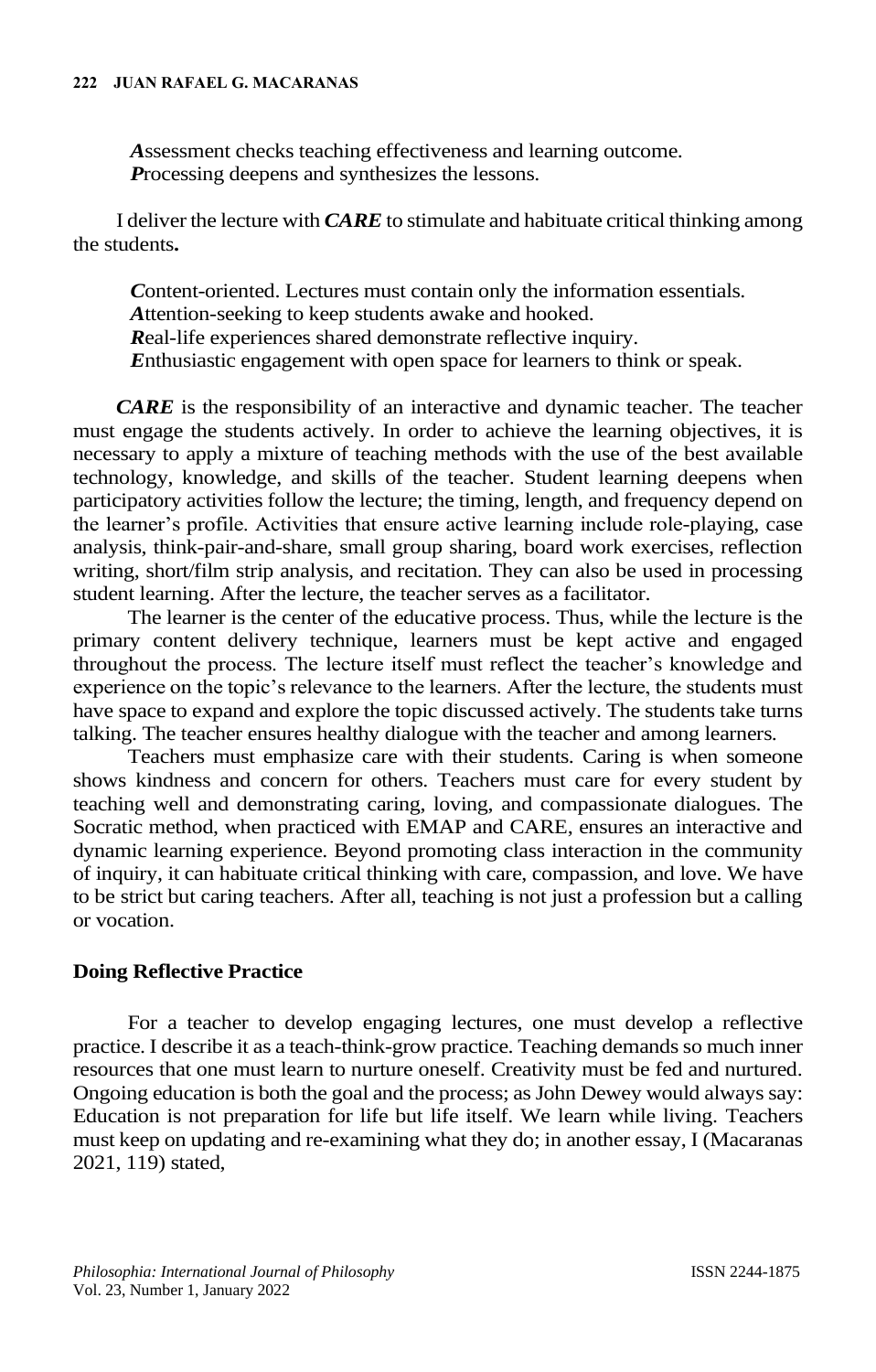#### **222 JUAN RAFAEL G. MACARANAS**

*A*ssessment checks teaching effectiveness and learning outcome. *P*rocessing deepens and synthesizes the lessons.

I deliver the lecture with *CARE* to stimulate and habituate critical thinking among the students**.**

*C*ontent-oriented. Lectures must contain only the information essentials. *A*ttention-seeking to keep students awake and hooked. *R*eal-life experiences shared demonstrate reflective inquiry. *E*nthusiastic engagement with open space for learners to think or speak.

*CARE* is the responsibility of an interactive and dynamic teacher. The teacher must engage the students actively. In order to achieve the learning objectives, it is necessary to apply a mixture of teaching methods with the use of the best available technology, knowledge, and skills of the teacher. Student learning deepens when participatory activities follow the lecture; the timing, length, and frequency depend on the learner's profile. Activities that ensure active learning include role-playing, case analysis, think-pair-and-share, small group sharing, board work exercises, reflection writing, short/film strip analysis, and recitation. They can also be used in processing student learning. After the lecture, the teacher serves as a facilitator.

The learner is the center of the educative process. Thus, while the lecture is the primary content delivery technique, learners must be kept active and engaged throughout the process. The lecture itself must reflect the teacher's knowledge and experience on the topic's relevance to the learners. After the lecture, the students must have space to expand and explore the topic discussed actively. The students take turns talking. The teacher ensures healthy dialogue with the teacher and among learners.

Teachers must emphasize care with their students. Caring is when someone shows kindness and concern for others. Teachers must care for every student by teaching well and demonstrating caring, loving, and compassionate dialogues. The Socratic method, when practiced with EMAP and CARE, ensures an interactive and dynamic learning experience. Beyond promoting class interaction in the community of inquiry, it can habituate critical thinking with care, compassion, and love. We have to be strict but caring teachers. After all, teaching is not just a profession but a calling or vocation.

## **Doing Reflective Practice**

For a teacher to develop engaging lectures, one must develop a reflective practice. I describe it as a teach-think-grow practice. Teaching demands so much inner resources that one must learn to nurture oneself. Creativity must be fed and nurtured. Ongoing education is both the goal and the process; as John Dewey would always say: Education is not preparation for life but life itself. We learn while living. Teachers must keep on updating and re-examining what they do; in another essay, I (Macaranas 2021, 119) stated,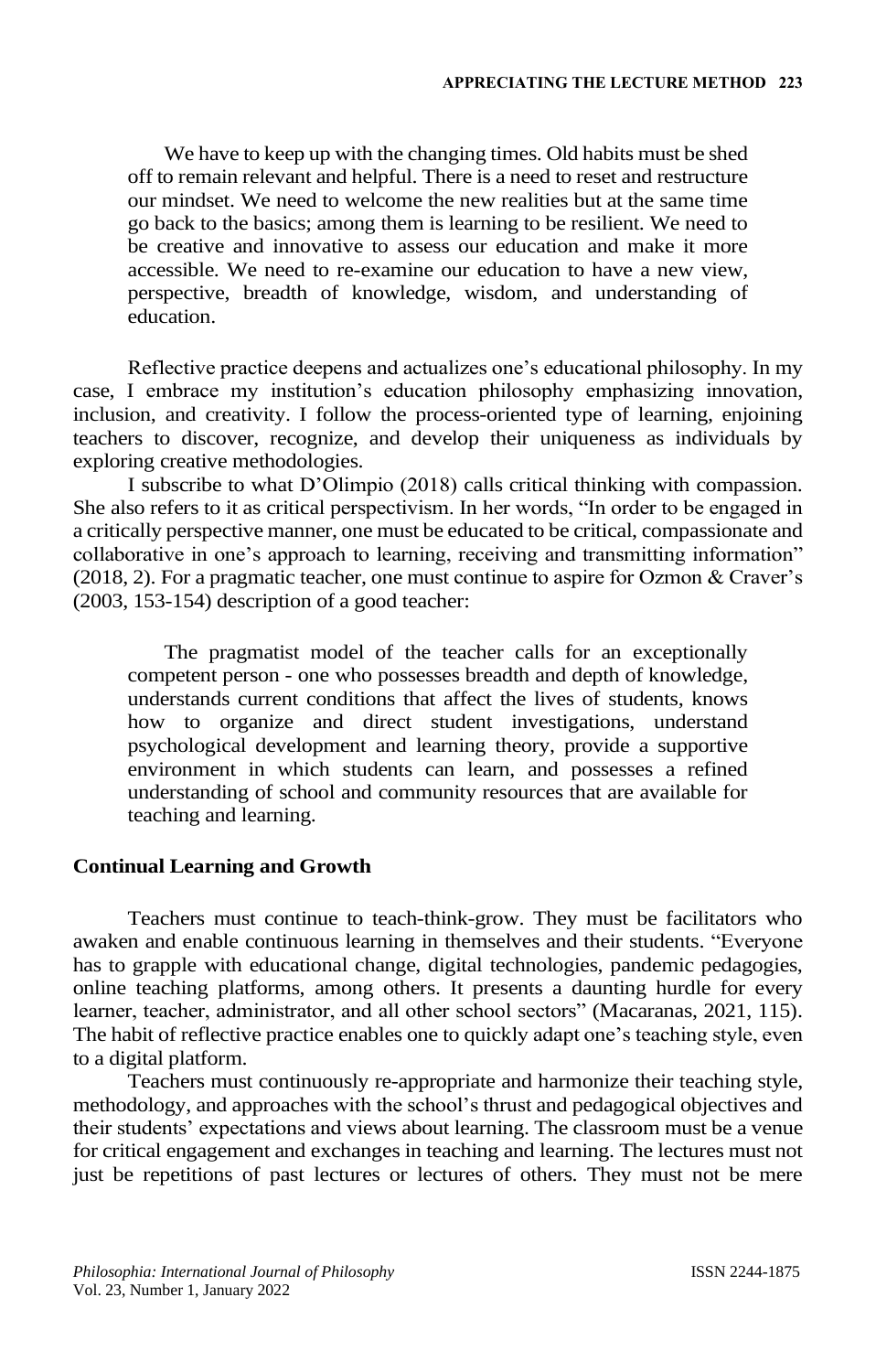We have to keep up with the changing times. Old habits must be shed off to remain relevant and helpful. There is a need to reset and restructure our mindset. We need to welcome the new realities but at the same time go back to the basics; among them is learning to be resilient. We need to be creative and innovative to assess our education and make it more accessible. We need to re-examine our education to have a new view, perspective, breadth of knowledge, wisdom, and understanding of education.

Reflective practice deepens and actualizes one's educational philosophy. In my case, I embrace my institution's education philosophy emphasizing innovation, inclusion, and creativity. I follow the process-oriented type of learning, enjoining teachers to discover, recognize, and develop their uniqueness as individuals by exploring creative methodologies.

I subscribe to what D'Olimpio (2018) calls critical thinking with compassion. She also refers to it as critical perspectivism. In her words, "In order to be engaged in a critically perspective manner, one must be educated to be critical, compassionate and collaborative in one's approach to learning, receiving and transmitting information" (2018, 2). For a pragmatic teacher, one must continue to aspire for Ozmon & Craver's (2003, 153-154) description of a good teacher:

The pragmatist model of the teacher calls for an exceptionally competent person - one who possesses breadth and depth of knowledge, understands current conditions that affect the lives of students, knows how to organize and direct student investigations, understand psychological development and learning theory, provide a supportive environment in which students can learn, and possesses a refined understanding of school and community resources that are available for teaching and learning.

## **Continual Learning and Growth**

Teachers must continue to teach-think-grow. They must be facilitators who awaken and enable continuous learning in themselves and their students. "Everyone has to grapple with educational change, digital technologies, pandemic pedagogies, online teaching platforms, among others. It presents a daunting hurdle for every learner, teacher, administrator, and all other school sectors" (Macaranas, 2021, 115). The habit of reflective practice enables one to quickly adapt one's teaching style, even to a digital platform.

Teachers must continuously re-appropriate and harmonize their teaching style, methodology, and approaches with the school's thrust and pedagogical objectives and their students' expectations and views about learning. The classroom must be a venue for critical engagement and exchanges in teaching and learning. The lectures must not just be repetitions of past lectures or lectures of others. They must not be mere